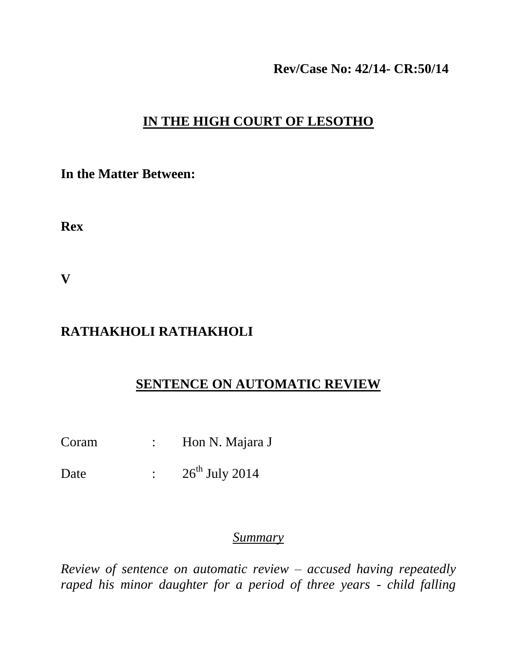#### **Rev/Case No: 42/14- CR:50/14**

# **IN THE HIGH COURT OF LESOTHO**

**In the Matter Between:**

**Rex**

**V**

# **RATHAKHOLI RATHAKHOLI**

## **SENTENCE ON AUTOMATIC REVIEW**

- Coram : Hon N. Majara J
- Date :  $26^{th}$  July 2014

#### *Summary*

*Review of sentence on automatic review – accused having repeatedly raped his minor daughter for a period of three years - child falling*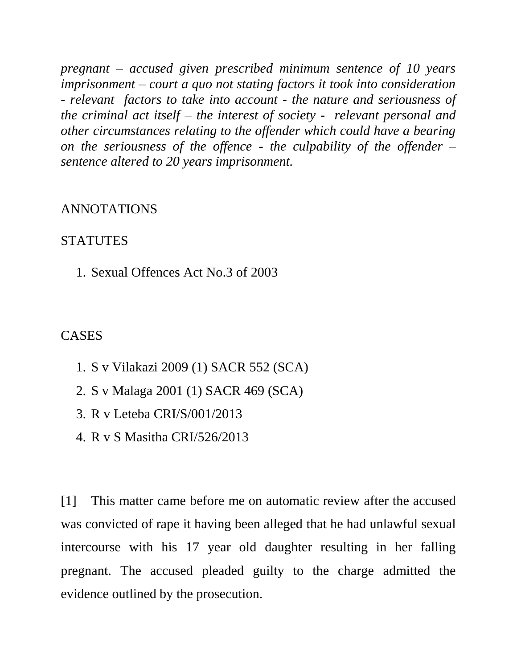*pregnant – accused given prescribed minimum sentence of 10 years imprisonment – court a quo not stating factors it took into consideration - relevant factors to take into account - the nature and seriousness of the criminal act itself – the interest of society - relevant personal and other circumstances relating to the offender which could have a bearing on the seriousness of the offence - the culpability of the offender – sentence altered to 20 years imprisonment.*

#### ANNOTATIONS

### **STATUTES**

1. Sexual Offences Act No.3 of 2003

#### CASES

- 1. S v Vilakazi 2009 (1) SACR 552 (SCA)
- 2. S v Malaga 2001 (1) SACR 469 (SCA)
- 3. R v Leteba CRI/S/001/2013
- 4. R v S Masitha CRI/526/2013

[1] This matter came before me on automatic review after the accused was convicted of rape it having been alleged that he had unlawful sexual intercourse with his 17 year old daughter resulting in her falling pregnant. The accused pleaded guilty to the charge admitted the evidence outlined by the prosecution.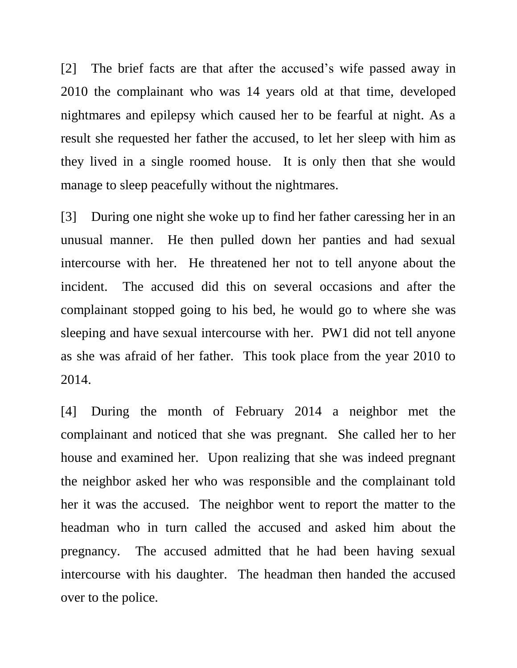[2] The brief facts are that after the accused's wife passed away in 2010 the complainant who was 14 years old at that time, developed nightmares and epilepsy which caused her to be fearful at night. As a result she requested her father the accused, to let her sleep with him as they lived in a single roomed house. It is only then that she would manage to sleep peacefully without the nightmares.

[3] During one night she woke up to find her father caressing her in an unusual manner. He then pulled down her panties and had sexual intercourse with her. He threatened her not to tell anyone about the incident. The accused did this on several occasions and after the complainant stopped going to his bed, he would go to where she was sleeping and have sexual intercourse with her. PW1 did not tell anyone as she was afraid of her father. This took place from the year 2010 to 2014.

[4] During the month of February 2014 a neighbor met the complainant and noticed that she was pregnant. She called her to her house and examined her. Upon realizing that she was indeed pregnant the neighbor asked her who was responsible and the complainant told her it was the accused. The neighbor went to report the matter to the headman who in turn called the accused and asked him about the pregnancy. The accused admitted that he had been having sexual intercourse with his daughter. The headman then handed the accused over to the police.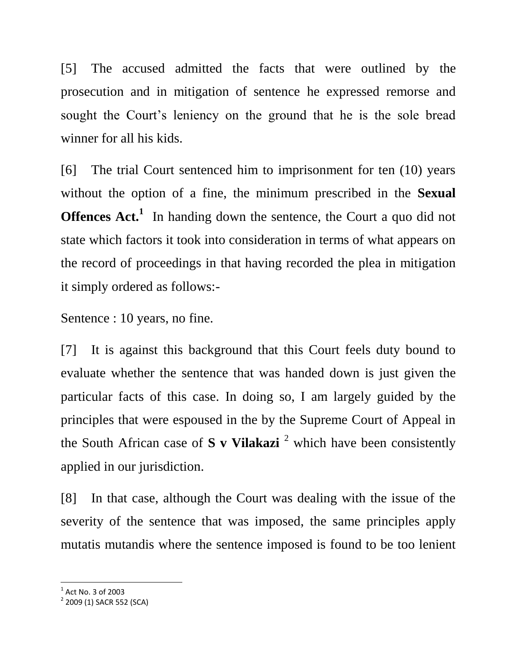[5] The accused admitted the facts that were outlined by the prosecution and in mitigation of sentence he expressed remorse and sought the Court's leniency on the ground that he is the sole bread winner for all his kids.

[6] The trial Court sentenced him to imprisonment for ten (10) years without the option of a fine, the minimum prescribed in the **Sexual Offences Act.**<sup>1</sup> In handing down the sentence, the Court a quo did not state which factors it took into consideration in terms of what appears on the record of proceedings in that having recorded the plea in mitigation it simply ordered as follows:-

Sentence : 10 years, no fine.

[7] It is against this background that this Court feels duty bound to evaluate whether the sentence that was handed down is just given the particular facts of this case. In doing so, I am largely guided by the principles that were espoused in the by the Supreme Court of Appeal in the South African case of  $S$  v Vilakazi<sup>2</sup> which have been consistently applied in our jurisdiction.

[8] In that case, although the Court was dealing with the issue of the severity of the sentence that was imposed, the same principles apply mutatis mutandis where the sentence imposed is found to be too lenient

l

 $^1$  Act No. 3 of 2003

<sup>&</sup>lt;sup>2</sup> 2009 (1) SACR 552 (SCA)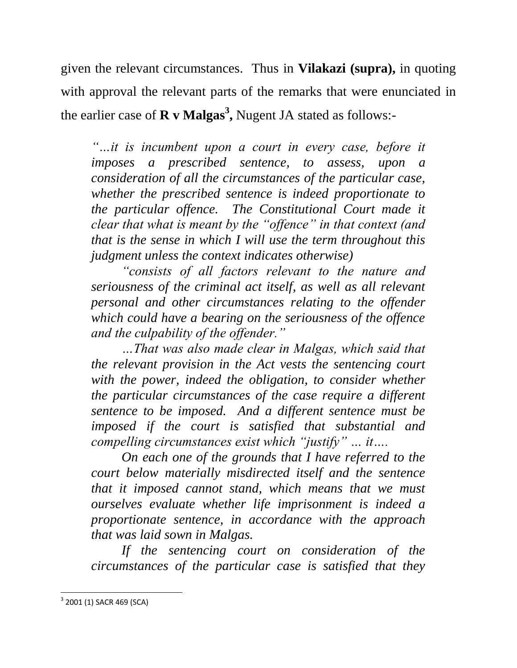given the relevant circumstances. Thus in **Vilakazi (supra),** in quoting with approval the relevant parts of the remarks that were enunciated in the earlier case of **R v Malgas<sup>3</sup> ,** Nugent JA stated as follows:-

*"…it is incumbent upon a court in every case, before it imposes a prescribed sentence, to assess, upon a consideration of all the circumstances of the particular case, whether the prescribed sentence is indeed proportionate to the particular offence. The Constitutional Court made it clear that what is meant by the "offence" in that context (and that is the sense in which I will use the term throughout this judgment unless the context indicates otherwise)*

*"consists of all factors relevant to the nature and seriousness of the criminal act itself, as well as all relevant personal and other circumstances relating to the offender which could have a bearing on the seriousness of the offence and the culpability of the offender."* 

*…That was also made clear in Malgas, which said that the relevant provision in the Act vests the sentencing court with the power, indeed the obligation, to consider whether the particular circumstances of the case require a different sentence to be imposed. And a different sentence must be imposed if the court is satisfied that substantial and compelling circumstances exist which "justify" … it….*

*On each one of the grounds that I have referred to the court below materially misdirected itself and the sentence that it imposed cannot stand, which means that we must ourselves evaluate whether life imprisonment is indeed a proportionate sentence, in accordance with the approach that was laid sown in Malgas.*

*If the sentencing court on consideration of the circumstances of the particular case is satisfied that they* 

 $\overline{\phantom{a}}$ 

 $3$  2001 (1) SACR 469 (SCA)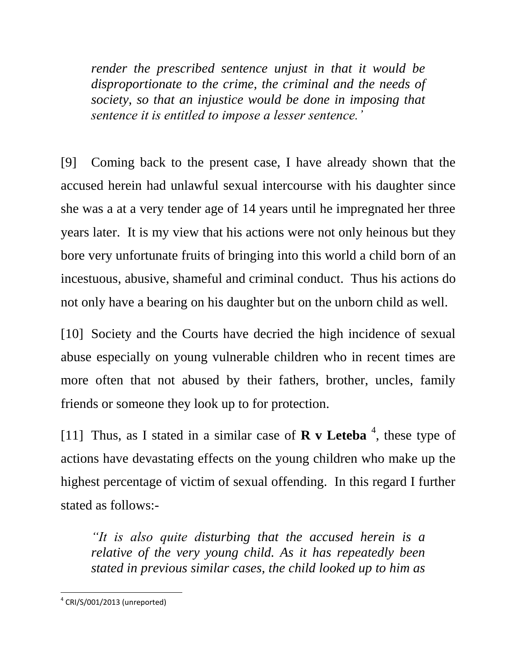*render the prescribed sentence unjust in that it would be disproportionate to the crime, the criminal and the needs of society, so that an injustice would be done in imposing that sentence it is entitled to impose a lesser sentence.'*

[9] Coming back to the present case, I have already shown that the accused herein had unlawful sexual intercourse with his daughter since she was a at a very tender age of 14 years until he impregnated her three years later. It is my view that his actions were not only heinous but they bore very unfortunate fruits of bringing into this world a child born of an incestuous, abusive, shameful and criminal conduct. Thus his actions do not only have a bearing on his daughter but on the unborn child as well.

[10] Society and the Courts have decried the high incidence of sexual abuse especially on young vulnerable children who in recent times are more often that not abused by their fathers, brother, uncles, family friends or someone they look up to for protection.

[11] Thus, as I stated in a similar case of  $\bf{R}$  **v** Leteba<sup>4</sup>, these type of actions have devastating effects on the young children who make up the highest percentage of victim of sexual offending. In this regard I further stated as follows:-

*"It is also quite disturbing that the accused herein is a relative of the very young child. As it has repeatedly been stated in previous similar cases, the child looked up to him as* 

 $\overline{\phantom{a}}$  $4$  CRI/S/001/2013 (unreported)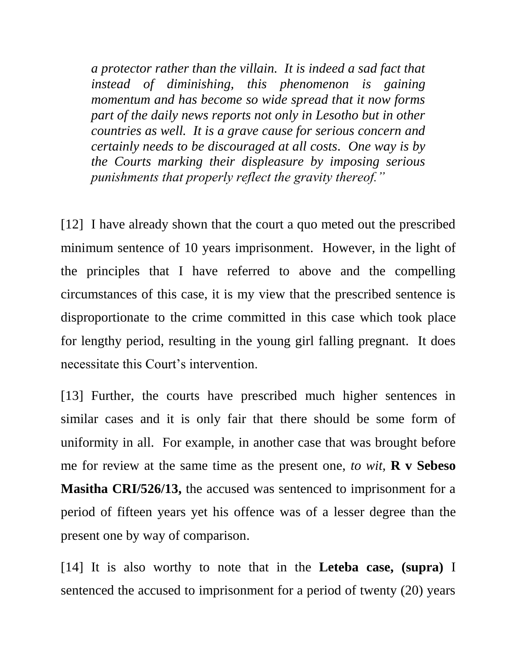*a protector rather than the villain. It is indeed a sad fact that instead of diminishing, this phenomenon is gaining momentum and has become so wide spread that it now forms part of the daily news reports not only in Lesotho but in other countries as well. It is a grave cause for serious concern and certainly needs to be discouraged at all costs. One way is by the Courts marking their displeasure by imposing serious punishments that properly reflect the gravity thereof."*

[12] I have already shown that the court a quo meted out the prescribed minimum sentence of 10 years imprisonment. However, in the light of the principles that I have referred to above and the compelling circumstances of this case, it is my view that the prescribed sentence is disproportionate to the crime committed in this case which took place for lengthy period, resulting in the young girl falling pregnant. It does necessitate this Court's intervention.

[13] Further, the courts have prescribed much higher sentences in similar cases and it is only fair that there should be some form of uniformity in all. For example, in another case that was brought before me for review at the same time as the present one, *to wit,* **R v Sebeso Masitha CRI/526/13,** the accused was sentenced to imprisonment for a period of fifteen years yet his offence was of a lesser degree than the present one by way of comparison.

[14] It is also worthy to note that in the **Leteba case, (supra)** I sentenced the accused to imprisonment for a period of twenty (20) years